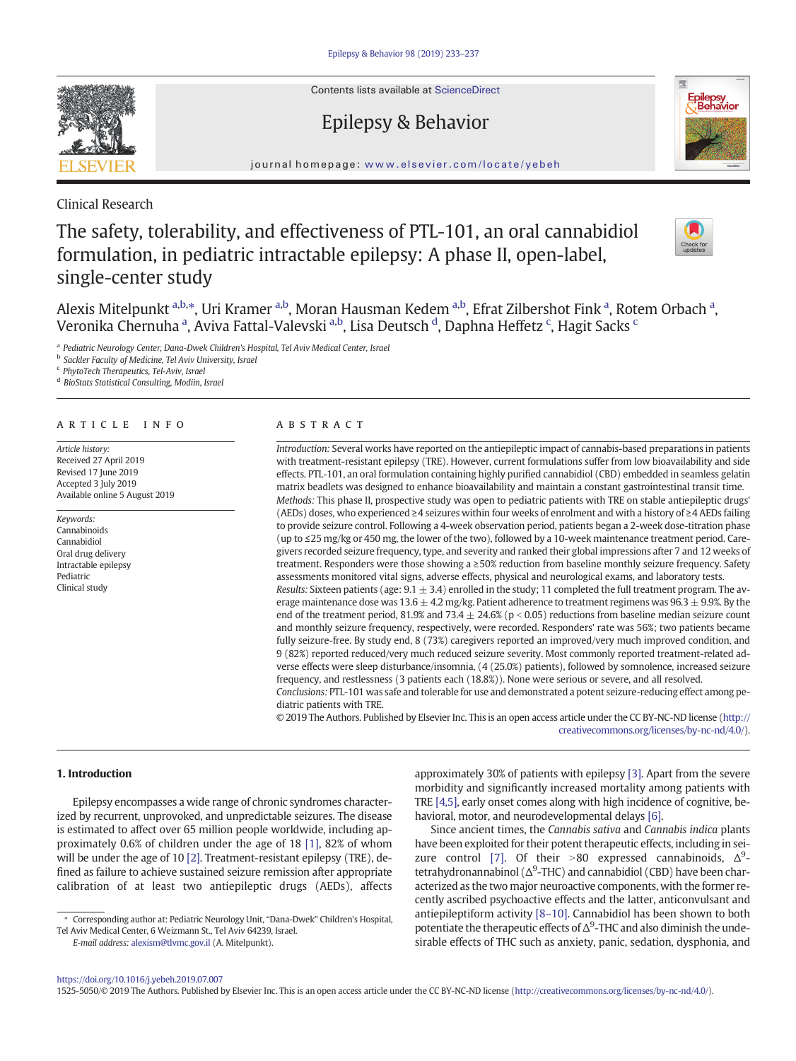Contents lists available at ScienceDirect

# Epilepsy & Behavior



journal homepage: <www.elsevier.com/locate/yebeh>

Clinical Research

# The safety, tolerability, and effectiveness of PTL-101, an oral cannabidiol formulation, in pediatric intractable epilepsy: A phase II, open-label, single-center study



Alexis Mitelpunkt <sup>a,b,</sup>\*, Uri Kramer <sup>a,b</sup>, Moran Hausman Kedem <sup>a,b</sup>, Efrat Zilbershot Fink <sup>a</sup>, Rotem Orbach <sup>a</sup>, Veronika Chernuha <sup>a</sup>, Aviva Fattal-Valevski <sup>a,b</sup>, Lisa Deutsch <sup>d</sup>, Daphna Heffetz <sup>c</sup>, Hagit Sacks <sup>c</sup>

a Pediatric Neurology Center, Dana-Dwek Children's Hospital, Tel Aviv Medical Center, Israel

<sup>b</sup> Sackler Faculty of Medicine, Tel Aviv University, Israel

<sup>c</sup> PhytoTech Therapeutics, Tel-Aviv, Israel

<sup>d</sup> BioStats Statistical Consulting, Modiin, Israel

#### article info abstract

Article history: Received 27 April 2019 Revised 17 June 2019 Accepted 3 July 2019 Available online 5 August 2019

Keywords: Cannabinoids Cannabidiol Oral drug delivery Intractable epilepsy Pediatric Clinical study

Introduction: Several works have reported on the antiepileptic impact of cannabis-based preparations in patients with treatment-resistant epilepsy (TRE). However, current formulations suffer from low bioavailability and side effects. PTL-101, an oral formulation containing highly purified cannabidiol (CBD) embedded in seamless gelatin matrix beadlets was designed to enhance bioavailability and maintain a constant gastrointestinal transit time. Methods: This phase II, prospective study was open to pediatric patients with TRE on stable antiepileptic drugs' (AEDs) doses, who experienced ≥4 seizures within four weeks of enrolment and with a history of ≥4 AEDs failing to provide seizure control. Following a 4-week observation period, patients began a 2-week dose-titration phase (up to ≤25 mg/kg or 450 mg, the lower of the two), followed by a 10-week maintenance treatment period. Caregivers recorded seizure frequency, type, and severity and ranked their global impressions after 7 and 12 weeks of treatment. Responders were those showing a ≥50% reduction from baseline monthly seizure frequency. Safety assessments monitored vital signs, adverse effects, physical and neurological exams, and laboratory tests. Results: Sixteen patients (age:  $9.1 \pm 3.4$ ) enrolled in the study; 11 completed the full treatment program. The average maintenance dose was 13.6  $\pm$  4.2 mg/kg. Patient adherence to treatment regimens was 96.3  $\pm$  9.9%. By the end of the treatment period, 81.9% and 73.4  $\pm$  24.6% (p < 0.05) reductions from baseline median seizure count and monthly seizure frequency, respectively, were recorded. Responders' rate was 56%; two patients became fully seizure-free. By study end, 8 (73%) caregivers reported an improved/very much improved condition, and 9 (82%) reported reduced/very much reduced seizure severity. Most commonly reported treatment-related adverse effects were sleep disturbance/insomnia, (4 (25.0%) patients), followed by somnolence, increased seizure frequency, and restlessness (3 patients each (18.8%)). None were serious or severe, and all resolved. Conclusions: PTL-101 was safe and tolerable for use and demonstrated a potent seizure-reducing effect among pediatric patients with TRE.

© 2019 The Authors. Published by Elsevier Inc. This is an open access article under the CC BY-NC-ND license [\(http://](http://creativecommons.org/licenses/by-nc-nd/4.0/) [creativecommons.org/licenses/by-nc-nd/4.0/\)](http://creativecommons.org/licenses/by-nc-nd/4.0/).

# 1. Introduction

Epilepsy encompasses a wide range of chronic syndromes characterized by recurrent, unprovoked, and unpredictable seizures. The disease is estimated to affect over 65 million people worldwide, including approximately 0.6% of children under the age of 18 [\[1\],](#page-4-0) 82% of whom will be under the age of 10 [\[2\].](#page-4-0) Treatment-resistant epilepsy (TRE), defined as failure to achieve sustained seizure remission after appropriate calibration of at least two antiepileptic drugs (AEDs), affects

E-mail address: <alexism@tlvmc.gov.il> (A. Mitelpunkt).

approximately 30% of patients with epilepsy [\[3\].](#page-4-0) Apart from the severe morbidity and significantly increased mortality among patients with TRE [\[4,5\]](#page-4-0), early onset comes along with high incidence of cognitive, behavioral, motor, and neurodevelopmental delays [\[6\].](#page-4-0)

Since ancient times, the Cannabis sativa and Cannabis indica plants have been exploited for their potent therapeutic effects, including in sei-zure control [\[7\]](#page-4-0). Of their >80 expressed cannabinoids,  $\Delta^9$ tetrahydronannabinol ( $\Delta^9$ -THC) and cannabidiol (CBD) have been characterized as the two major neuroactive components, with the former recently ascribed psychoactive effects and the latter, anticonvulsant and antiepileptiform activity [8–[10\].](#page-4-0) Cannabidiol has been shown to both potentiate the therapeutic effects of  $\Delta^9$ -THC and also diminish the undesirable effects of THC such as anxiety, panic, sedation, dysphonia, and

1525-5050/© 2019 The Authors. Published by Elsevier Inc. This is an open access article under the CC BY-NC-ND license [\(http://creativecommons.org/licenses/by-nc-nd/4.0/](http://creativecommons.org/licenses/by-nc-nd/4.0/)).



<sup>⁎</sup> Corresponding author at: Pediatric Neurology Unit, "Dana-Dwek" Children's Hospital, Tel Aviv Medical Center, 6 Weizmann St., Tel Aviv 64239, Israel.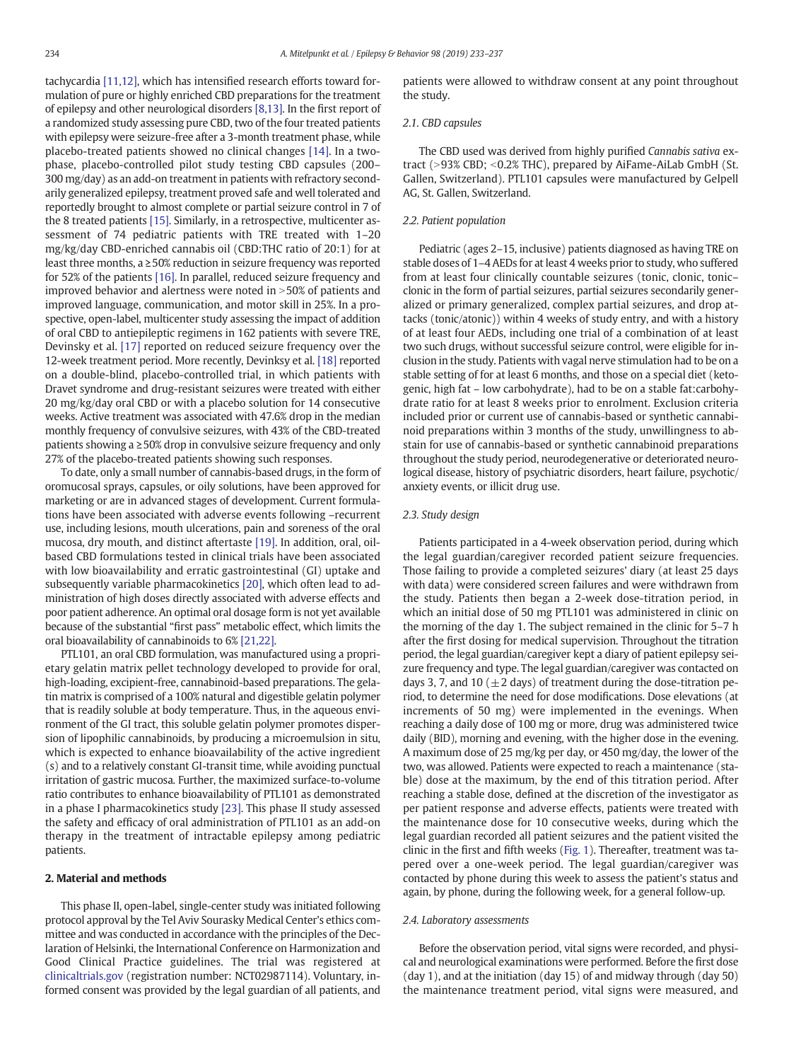tachycardia [\[11,12\],](#page-4-0) which has intensified research efforts toward formulation of pure or highly enriched CBD preparations for the treatment of epilepsy and other neurological disorders [\[8,13\]](#page-4-0). In the first report of a randomized study assessing pure CBD, two of the four treated patients with epilepsy were seizure-free after a 3-month treatment phase, while placebo-treated patients showed no clinical changes [\[14\]](#page-4-0). In a twophase, placebo-controlled pilot study testing CBD capsules (200– 300 mg/day) as an add-on treatment in patients with refractory secondarily generalized epilepsy, treatment proved safe and well tolerated and reportedly brought to almost complete or partial seizure control in 7 of the 8 treated patients [\[15\]](#page-4-0). Similarly, in a retrospective, multicenter assessment of 74 pediatric patients with TRE treated with 1–20 mg/kg/day CBD-enriched cannabis oil (CBD:THC ratio of 20:1) for at least three months, a ≥50% reduction in seizure frequency was reported for 52% of the patients [\[16\].](#page-4-0) In parallel, reduced seizure frequency and improved behavior and alertness were noted in  $>50\%$  of patients and improved language, communication, and motor skill in 25%. In a prospective, open-label, multicenter study assessing the impact of addition of oral CBD to antiepileptic regimens in 162 patients with severe TRE, Devinsky et al. [\[17\]](#page-4-0) reported on reduced seizure frequency over the 12-week treatment period. More recently, Devinksy et al. [\[18\]](#page-4-0) reported on a double-blind, placebo-controlled trial, in which patients with Dravet syndrome and drug-resistant seizures were treated with either 20 mg/kg/day oral CBD or with a placebo solution for 14 consecutive weeks. Active treatment was associated with 47.6% drop in the median monthly frequency of convulsive seizures, with 43% of the CBD-treated patients showing a ≥50% drop in convulsive seizure frequency and only 27% of the placebo-treated patients showing such responses.

To date, only a small number of cannabis-based drugs, in the form of oromucosal sprays, capsules, or oily solutions, have been approved for marketing or are in advanced stages of development. Current formulations have been associated with adverse events following –recurrent use, including lesions, mouth ulcerations, pain and soreness of the oral mucosa, dry mouth, and distinct aftertaste [\[19\].](#page-4-0) In addition, oral, oilbased CBD formulations tested in clinical trials have been associated with low bioavailability and erratic gastrointestinal (GI) uptake and subsequently variable pharmacokinetics [\[20\]](#page-4-0), which often lead to administration of high doses directly associated with adverse effects and poor patient adherence. An optimal oral dosage form is not yet available because of the substantial "first pass" metabolic effect, which limits the oral bioavailability of cannabinoids to 6% [\[21,22\]](#page-4-0).

PTL101, an oral CBD formulation, was manufactured using a proprietary gelatin matrix pellet technology developed to provide for oral, high-loading, excipient-free, cannabinoid-based preparations. The gelatin matrix is comprised of a 100% natural and digestible gelatin polymer that is readily soluble at body temperature. Thus, in the aqueous environment of the GI tract, this soluble gelatin polymer promotes dispersion of lipophilic cannabinoids, by producing a microemulsion in situ, which is expected to enhance bioavailability of the active ingredient (s) and to a relatively constant GI-transit time, while avoiding punctual irritation of gastric mucosa. Further, the maximized surface-to-volume ratio contributes to enhance bioavailability of PTL101 as demonstrated in a phase I pharmacokinetics study [\[23\]](#page-4-0). This phase II study assessed the safety and efficacy of oral administration of PTL101 as an add-on therapy in the treatment of intractable epilepsy among pediatric patients.

# 2. Material and methods

This phase II, open-label, single-center study was initiated following protocol approval by the Tel Aviv Sourasky Medical Center's ethics committee and was conducted in accordance with the principles of the Declaration of Helsinki, the International Conference on Harmonization and Good Clinical Practice guidelines. The trial was registered at [clinicaltrials.gov](http://clinicaltrials.gov) (registration number: NCT02987114). Voluntary, informed consent was provided by the legal guardian of all patients, and patients were allowed to withdraw consent at any point throughout the study.

# 2.1. CBD capsules

The CBD used was derived from highly purified Cannabis sativa extract (>93% CBD; <0.2% THC), prepared by AiFame-AiLab GmbH (St. Gallen, Switzerland). PTL101 capsules were manufactured by Gelpell AG, St. Gallen, Switzerland.

#### 2.2. Patient population

Pediatric (ages 2–15, inclusive) patients diagnosed as having TRE on stable doses of 1–4 AEDs for at least 4 weeks prior to study, who suffered from at least four clinically countable seizures (tonic, clonic, tonic– clonic in the form of partial seizures, partial seizures secondarily generalized or primary generalized, complex partial seizures, and drop attacks (tonic/atonic)) within 4 weeks of study entry, and with a history of at least four AEDs, including one trial of a combination of at least two such drugs, without successful seizure control, were eligible for inclusion in the study. Patients with vagal nerve stimulation had to be on a stable setting of for at least 6 months, and those on a special diet (ketogenic, high fat – low carbohydrate), had to be on a stable fat:carbohydrate ratio for at least 8 weeks prior to enrolment. Exclusion criteria included prior or current use of cannabis-based or synthetic cannabinoid preparations within 3 months of the study, unwillingness to abstain for use of cannabis-based or synthetic cannabinoid preparations throughout the study period, neurodegenerative or deteriorated neurological disease, history of psychiatric disorders, heart failure, psychotic/ anxiety events, or illicit drug use.

#### 2.3. Study design

Patients participated in a 4-week observation period, during which the legal guardian/caregiver recorded patient seizure frequencies. Those failing to provide a completed seizures' diary (at least 25 days with data) were considered screen failures and were withdrawn from the study. Patients then began a 2-week dose-titration period, in which an initial dose of 50 mg PTL101 was administered in clinic on the morning of the day 1. The subject remained in the clinic for 5–7 h after the first dosing for medical supervision. Throughout the titration period, the legal guardian/caregiver kept a diary of patient epilepsy seizure frequency and type. The legal guardian/caregiver was contacted on days 3, 7, and 10 ( $\pm$ 2 days) of treatment during the dose-titration period, to determine the need for dose modifications. Dose elevations (at increments of 50 mg) were implemented in the evenings. When reaching a daily dose of 100 mg or more, drug was administered twice daily (BID), morning and evening, with the higher dose in the evening. A maximum dose of 25 mg/kg per day, or 450 mg/day, the lower of the two, was allowed. Patients were expected to reach a maintenance (stable) dose at the maximum, by the end of this titration period. After reaching a stable dose, defined at the discretion of the investigator as per patient response and adverse effects, patients were treated with the maintenance dose for 10 consecutive weeks, during which the legal guardian recorded all patient seizures and the patient visited the clinic in the first and fifth weeks [\(Fig. 1\)](#page-2-0). Thereafter, treatment was tapered over a one-week period. The legal guardian/caregiver was contacted by phone during this week to assess the patient's status and again, by phone, during the following week, for a general follow-up.

#### 2.4. Laboratory assessments

Before the observation period, vital signs were recorded, and physical and neurological examinations were performed. Before the first dose (day 1), and at the initiation (day 15) of and midway through (day 50) the maintenance treatment period, vital signs were measured, and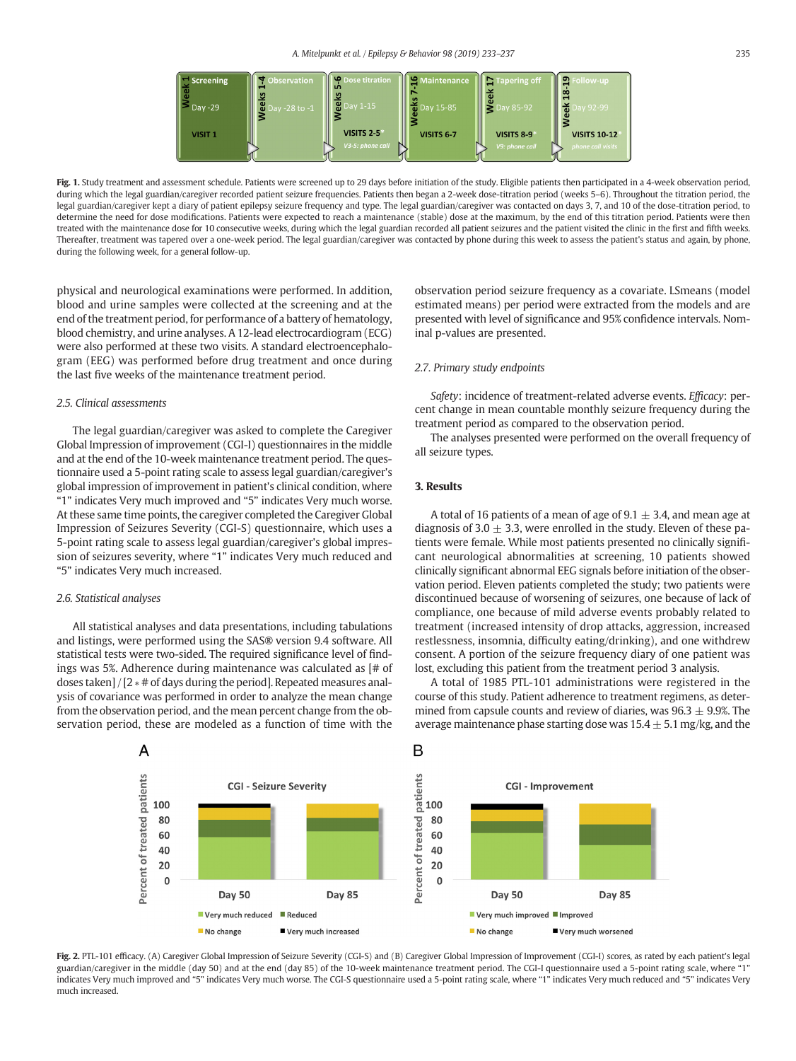<span id="page-2-0"></span>

Fig. 1. Study treatment and assessment schedule. Patients were screened up to 29 days before initiation of the study. Eligible patients then participated in a 4-week observation period, during which the legal guardian/caregiver recorded patient seizure frequencies. Patients then began a 2-week dose-titration period (weeks 5-6). Throughout the titration period, the legal guardian/caregiver kept a diary of patient epilepsy seizure frequency and type. The legal guardian/caregiver was contacted on days 3, 7, and 10 of the dose-titration period, to determine the need for dose modifications. Patients were expected to reach a maintenance (stable) dose at the maximum, by the end of this titration period. Patients were then treated with the maintenance dose for 10 consecutive weeks, during which the legal guardian recorded all patient seizures and the patient visited the clinic in the first and fifth weeks. Thereafter, treatment was tapered over a one-week period. The legal guardian/caregiver was contacted by phone during this week to assess the patient's status and again, by phone, during the following week, for a general follow-up.

physical and neurological examinations were performed. In addition, blood and urine samples were collected at the screening and at the end of the treatment period, for performance of a battery of hematology, blood chemistry, and urine analyses. A 12-lead electrocardiogram (ECG) were also performed at these two visits. A standard electroencephalogram (EEG) was performed before drug treatment and once during the last five weeks of the maintenance treatment period.

# 2.5. Clinical assessments

The legal guardian/caregiver was asked to complete the Caregiver Global Impression of improvement (CGI-I) questionnaires in the middle and at the end of the 10-week maintenance treatment period. The questionnaire used a 5-point rating scale to assess legal guardian/caregiver's global impression of improvement in patient's clinical condition, where "1" indicates Very much improved and "5" indicates Very much worse. At these same time points, the caregiver completed the Caregiver Global Impression of Seizures Severity (CGI-S) questionnaire, which uses a 5-point rating scale to assess legal guardian/caregiver's global impression of seizures severity, where "1" indicates Very much reduced and "5" indicates Very much increased.

#### 2.6. Statistical analyses

All statistical analyses and data presentations, including tabulations and listings, were performed using the SAS® version 9.4 software. All statistical tests were two-sided. The required significance level of findings was 5%. Adherence during maintenance was calculated as [# of doses taken] / [2 ∗ # of days during the period]. Repeated measures analysis of covariance was performed in order to analyze the mean change from the observation period, and the mean percent change from the observation period, these are modeled as a function of time with the

observation period seizure frequency as a covariate. LSmeans (model estimated means) per period were extracted from the models and are presented with level of significance and 95% confidence intervals. Nominal p-values are presented.

# 2.7. Primary study endpoints

Safety: incidence of treatment-related adverse events. Efficacy: percent change in mean countable monthly seizure frequency during the treatment period as compared to the observation period.

The analyses presented were performed on the overall frequency of all seizure types.

# 3. Results

A total of 16 patients of a mean of age of 9.1  $\pm$  3.4, and mean age at diagnosis of 3.0  $\pm$  3.3, were enrolled in the study. Eleven of these patients were female. While most patients presented no clinically significant neurological abnormalities at screening, 10 patients showed clinically significant abnormal EEG signals before initiation of the observation period. Eleven patients completed the study; two patients were discontinued because of worsening of seizures, one because of lack of compliance, one because of mild adverse events probably related to treatment (increased intensity of drop attacks, aggression, increased restlessness, insomnia, difficulty eating/drinking), and one withdrew consent. A portion of the seizure frequency diary of one patient was lost, excluding this patient from the treatment period 3 analysis.

A total of 1985 PTL-101 administrations were registered in the course of this study. Patient adherence to treatment regimens, as determined from capsule counts and review of diaries, was  $96.3 \pm 9.9$ %. The average maintenance phase starting dose was  $15.4 \pm 5.1$  mg/kg, and the



Fig. 2. PTL-101 efficacy. (A) Caregiver Global Impression of Seizure Severity (CGI-S) and (B) Caregiver Global Impression of Improvement (CGI-I) scores, as rated by each patient's legal guardian/caregiver in the middle (day 50) and at the end (day 85) of the 10-week maintenance treatment period. The CGI-I questionnaire used a 5-point rating scale, where "1" indicates Very much improved and "5" indicates Very much worse. The CGI-S questionnaire used a 5-point rating scale, where "1" indicates Very much reduced and "5" indicates Very much increased.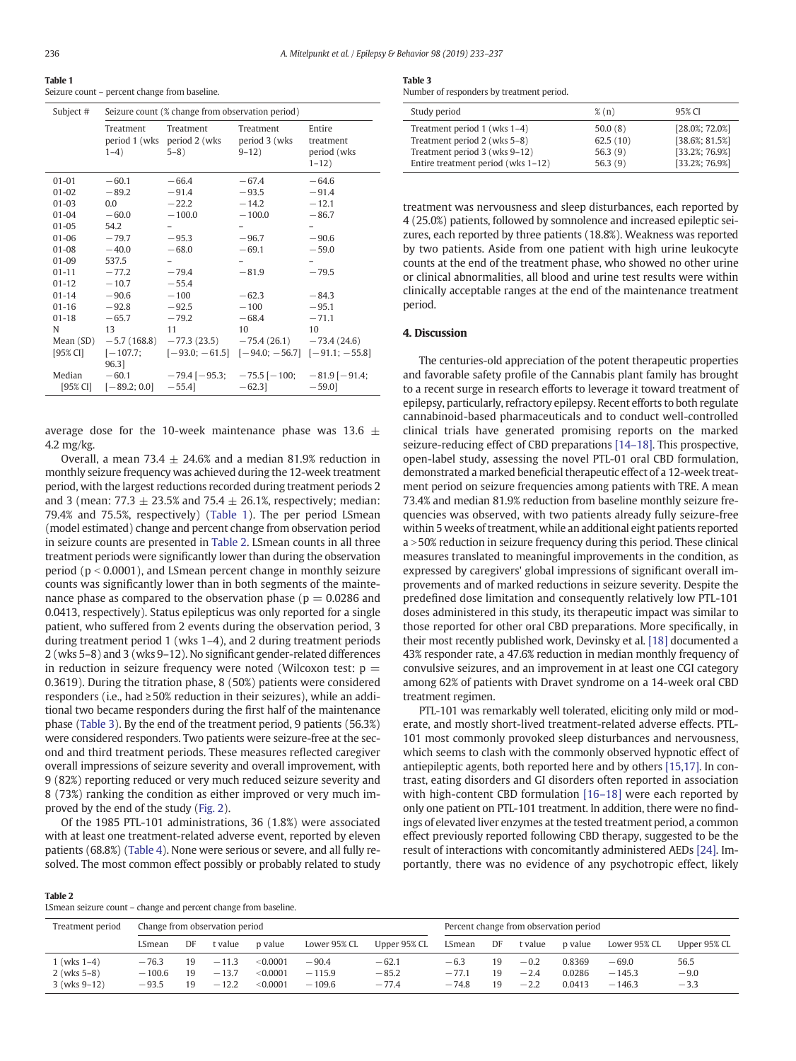| v | ۰.           |             |
|---|--------------|-------------|
|   | P.<br>$\sim$ | ï<br>$\sim$ |
|   |              |             |

Table 1 Seizure count – percent change from baseline.

| Subject #          | Seizure count (% change from observation period) |                                                                       |                                                    |                                                  |  |  |  |
|--------------------|--------------------------------------------------|-----------------------------------------------------------------------|----------------------------------------------------|--------------------------------------------------|--|--|--|
|                    | Treatment<br>$1 - 4$ )                           | Treatment<br>period 1 (wks period 2 (wks<br>$5 - 8$ )                 | Treatment<br>period 3 (wks<br>$9 - 12$             | Entire<br>treatment<br>period (wks<br>$1 - 12$ ) |  |  |  |
| $01 - 01$          | $-60.1$                                          | $-66.4$                                                               | $-67.4$                                            | $-64.6$                                          |  |  |  |
| $01 - 02$          | $-89.2$                                          | $-91.4$                                                               | $-93.5$                                            | $-91.4$                                          |  |  |  |
| $01 - 03$          | $0.0^{\circ}$                                    | $-22.2$                                                               | $-14.2$                                            | $-12.1$                                          |  |  |  |
| $01 - 04$          | $-60.0$                                          | $-100.0$                                                              | $-100.0$                                           | $-86.7$                                          |  |  |  |
| $01 - 05$          | 54.2                                             |                                                                       |                                                    |                                                  |  |  |  |
| $01 - 06$          | $-79.7$                                          | $-95.3$                                                               | $-96.7$                                            | $-90.6$                                          |  |  |  |
| $01 - 08$          | $-40.0$                                          | $-68.0$                                                               | $-69.1$                                            | $-59.0$                                          |  |  |  |
| $01 - 09$          | 537.5                                            |                                                                       |                                                    |                                                  |  |  |  |
| $01 - 11$          | $-77.2$                                          | $-79.4$                                                               | $-81.9$                                            | $-79.5$                                          |  |  |  |
| $01 - 12$          | $-10.7$                                          | $-55.4$                                                               |                                                    |                                                  |  |  |  |
| $01 - 14$          | $-90.6$                                          | $-100$                                                                | $-62.3$                                            | $-84.3$                                          |  |  |  |
| $01 - 16$          | $-92.8$                                          | $-92.5$                                                               | $-100$                                             | $-95.1$                                          |  |  |  |
| $01 - 18$          | $-65.7$                                          | $-79.2$                                                               | $-68.4$                                            | $-71.1$                                          |  |  |  |
| N                  | 13                                               | 11                                                                    | 10                                                 | 10                                               |  |  |  |
| Mean (SD)          |                                                  | $-5.7(168.8)$ $-77.3(23.5)$ $-75.4(26.1)$ $-73.4(24.6)$               |                                                    |                                                  |  |  |  |
| $[95%$ CI]         | $[-107.7;$<br>96.31                              |                                                                       | $[-93.0; -61.5]$ $[-94.0; -56.7]$ $[-91.1; -55.8]$ |                                                  |  |  |  |
| Median<br>[95% CI] | $-60.1$<br>$[-89.2; 0.0]$                        | $-79.4$ [ $-95.3$ ; $-75.5$ [ $-100$ ; $-81.9$ [ $-91.4$ ;<br>$-55.4$ | $-62.3$                                            | $-59.0$                                          |  |  |  |

average dose for the 10-week maintenance phase was 13.6  $\pm$ 4.2 mg/kg.

Overall, a mean 73.4  $\pm$  24.6% and a median 81.9% reduction in monthly seizure frequency was achieved during the 12-week treatment period, with the largest reductions recorded during treatment periods 2 and 3 (mean: 77.3  $\pm$  23.5% and 75.4  $\pm$  26.1%, respectively; median: 79.4% and 75.5%, respectively) (Table 1). The per period LSmean (model estimated) change and percent change from observation period in seizure counts are presented in Table 2. LSmean counts in all three treatment periods were significantly lower than during the observation period ( $p < 0.0001$ ), and LSmean percent change in monthly seizure counts was significantly lower than in both segments of the maintenance phase as compared to the observation phase ( $p = 0.0286$  and 0.0413, respectively). Status epilepticus was only reported for a single patient, who suffered from 2 events during the observation period, 3 during treatment period 1 (wks 1–4), and 2 during treatment periods 2 (wks 5–8) and 3 (wks 9–12). No significant gender-related differences in reduction in seizure frequency were noted (Wilcoxon test:  $p =$ 0.3619). During the titration phase, 8 (50%) patients were considered responders (i.e., had ≥50% reduction in their seizures), while an additional two became responders during the first half of the maintenance phase (Table 3). By the end of the treatment period, 9 patients (56.3%) were considered responders. Two patients were seizure-free at the second and third treatment periods. These measures reflected caregiver overall impressions of seizure severity and overall improvement, with 9 (82%) reporting reduced or very much reduced seizure severity and 8 (73%) ranking the condition as either improved or very much improved by the end of the study ([Fig. 2](#page-2-0)).

Of the 1985 PTL-101 administrations, 36 (1.8%) were associated with at least one treatment-related adverse event, reported by eleven patients (68.8%) [\(Table 4](#page-4-0)). None were serious or severe, and all fully resolved. The most common effect possibly or probably related to study

#### Table 3

Number of responders by treatment period.

| Study period                       | $\%$ (n) | 95% CI             |
|------------------------------------|----------|--------------------|
| Treatment period 1 (wks 1-4)       | 50.0(8)  | $[28.0\%; 72.0\%]$ |
| Treatment period 2 (wks 5-8)       | 62.5(10) | $[38.6\%; 81.5\%]$ |
| Treatment period 3 (wks 9–12)      | 56.3(9)  | [33.2%; 76.9%]     |
| Entire treatment period (wks 1-12) | 56.3(9)  | [33.2%; 76.9%]     |

treatment was nervousness and sleep disturbances, each reported by 4 (25.0%) patients, followed by somnolence and increased epileptic seizures, each reported by three patients (18.8%). Weakness was reported by two patients. Aside from one patient with high urine leukocyte counts at the end of the treatment phase, who showed no other urine or clinical abnormalities, all blood and urine test results were within clinically acceptable ranges at the end of the maintenance treatment period.

# 4. Discussion

The centuries-old appreciation of the potent therapeutic properties and favorable safety profile of the Cannabis plant family has brought to a recent surge in research efforts to leverage it toward treatment of epilepsy, particularly, refractory epilepsy. Recent efforts to both regulate cannabinoid-based pharmaceuticals and to conduct well-controlled clinical trials have generated promising reports on the marked seizure-reducing effect of CBD preparations [\[14](#page-4-0)–18]. This prospective, open-label study, assessing the novel PTL-01 oral CBD formulation, demonstrated a marked beneficial therapeutic effect of a 12-week treatment period on seizure frequencies among patients with TRE. A mean 73.4% and median 81.9% reduction from baseline monthly seizure frequencies was observed, with two patients already fully seizure-free within 5 weeks of treatment, while an additional eight patients reported a > 50% reduction in seizure frequency during this period. These clinical measures translated to meaningful improvements in the condition, as expressed by caregivers' global impressions of significant overall improvements and of marked reductions in seizure severity. Despite the predefined dose limitation and consequently relatively low PTL-101 doses administered in this study, its therapeutic impact was similar to those reported for other oral CBD preparations. More specifically, in their most recently published work, Devinsky et al. [\[18\]](#page-4-0) documented a 43% responder rate, a 47.6% reduction in median monthly frequency of convulsive seizures, and an improvement in at least one CGI category among 62% of patients with Dravet syndrome on a 14-week oral CBD treatment regimen.

PTL-101 was remarkably well tolerated, eliciting only mild or moderate, and mostly short-lived treatment-related adverse effects. PTL-101 most commonly provoked sleep disturbances and nervousness, which seems to clash with the commonly observed hypnotic effect of antiepileptic agents, both reported here and by others [\[15,17\]](#page-4-0). In contrast, eating disorders and GI disorders often reported in association with high-content CBD formulation [16–[18\]](#page-4-0) were each reported by only one patient on PTL-101 treatment. In addition, there were no findings of elevated liver enzymes at the tested treatment period, a common effect previously reported following CBD therapy, suggested to be the result of interactions with concomitantly administered AEDs [\[24\].](#page-4-0) Importantly, there was no evidence of any psychotropic effect, likely

#### Table 2

LSmean seizure count – change and percent change from baseline.

| Treatment period<br>Change from observation period |                     |          | Percent change from observation period |                      |                     |                    |                   |          |                  |                  |                     |                |
|----------------------------------------------------|---------------------|----------|----------------------------------------|----------------------|---------------------|--------------------|-------------------|----------|------------------|------------------|---------------------|----------------|
|                                                    | LSmean              | DF       | t value                                | p value              | Lower 95% CL        | Upper 95% CL       | LSmean            | DF       | t value          | p value          | Lower 95% CL        | Upper 95% CL   |
| 1 (wks 1–4)<br>$2$ (wks 5–8)                       | $-76.3$<br>$-100.6$ | 19<br>19 | $-11.3$<br>$-13.7$                     | < 0.0001<br>< 0.0001 | $-90.4$<br>$-115.9$ | $-62.1$<br>$-85.2$ | $-6.3$<br>$-77.1$ | 19<br>19 | $-0.2$<br>$-2.4$ | 0.8369<br>0.0286 | $-69.0$<br>$-145.3$ | 56.5<br>$-9.0$ |
| $3$ (wks $9-12$ )                                  | $-93.5$             | 19       | $-12.2$                                | < 0.0001             | $-109.6$            | $-77.4$            | $-74.8$           | 19       | $-2.2$           | 0.0413           | $-146.3$            | $-3.3$         |